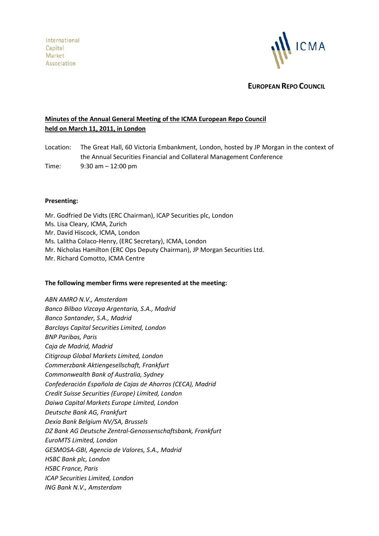

**EUROPEAN REPO COUNCIL**

# **Minutes of the Annual General Meeting of the ICMA European Repo Council held on March 11, 2011, in London**

Location: The Great Hall, 60 Victoria Embankment, London, hosted by JP Morgan in the context of the Annual Securities Financial and Collateral Management Conference

Time: 9:30 am – 12:00 pm

#### **Presenting:**

Mr. Godfried De Vidts (ERC Chairman), ICAP Securities plc, London Ms. Lisa Cleary, ICMA, Zurich Mr. David Hiscock, ICMA, London Ms. Lalitha Colaco-Henry, (ERC Secretary), ICMA, London Mr. Nicholas Hamilton (ERC Ops Deputy Chairman), JP Morgan Securities Ltd. Mr. Richard Comotto, ICMA Centre

## **The following member firms were represented at the meeting:**

*ABN AMRO N.V., Amsterdam Banco Bilbao Vizcaya Argentaria, S.A., Madrid Banco Santander, S.A., Madrid Barclays Capital Securities Limited, London BNP Paribas, Paris Caja de Madrid, Madrid Citigroup Global Markets Limited, London Commerzbank Aktiengesellschaft, Frankfurt Commonwealth Bank of Australia, Sydney Confederación Española de Cajas de Ahorros (CECA), Madrid Credit Suisse Securities (Europe) Limited, London Daiwa Capital Markets Europe Limited, London Deutsche Bank AG, Frankfurt Dexia Bank Belgium NV/SA, Brussels DZ Bank AG Deutsche Zentral-Genossenschaftsbank, Frankfurt EuroMTS Limited, London GESMOSA-GBI, Agencia de Valores, S.A., Madrid HSBC Bank plc, London HSBC France, Paris ICAP Securities Limited, London ING Bank N.V., Amsterdam*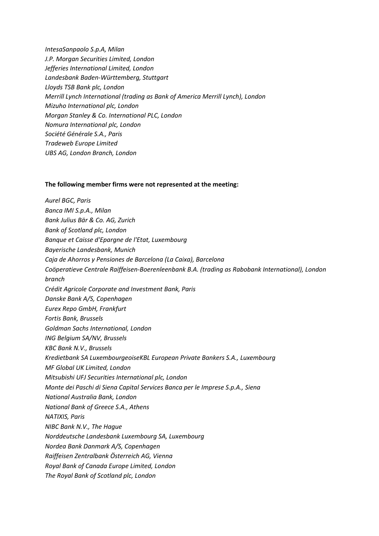*IntesaSanpaolo S.p.A, Milan J.P. Morgan Securities Limited, London Jefferies International Limited, London Landesbank Baden-Württemberg, Stuttgart Lloyds TSB Bank plc, London Merrill Lynch International (trading as Bank of America Merrill Lynch), London Mizuho International plc, London Morgan Stanley & Co. International PLC, London Nomura International plc, London Société Générale S.A., Paris Tradeweb Europe Limited UBS AG, London Branch, London*

#### **The following member firms were not represented at the meeting:**

*Aurel BGC, Paris Banca IMI S.p.A., Milan Bank Julius Bär & Co. AG, Zurich Bank of Scotland plc, London Banque et Caisse d'Epargne de l'Etat, Luxembourg Bayerische Landesbank, Munich Caja de Ahorros y Pensiones de Barcelona (La Caixa), Barcelona Coöperatieve Centrale Raiffeisen-Boerenleenbank B.A. (trading as Rabobank International), London branch Crédit Agricole Corporate and Investment Bank, Paris Danske Bank A/S, Copenhagen Eurex Repo GmbH, Frankfurt Fortis Bank, Brussels Goldman Sachs International, London ING Belgium SA/NV, Brussels KBC Bank N.V., Brussels Kredietbank SA LuxembourgeoiseKBL European Private Bankers S.A., Luxembourg MF Global UK Limited, London Mitsubishi UFJ Securities International plc, London Monte dei Paschi di Siena Capital Services Banca per le Imprese S.p.A., Siena National Australia Bank, London National Bank of Greece S.A., Athens NATIXIS, Paris NIBC Bank N.V., The Hague Norddeutsche Landesbank Luxembourg SA, Luxembourg Nordea Bank Danmark A/S, Copenhagen Raiffeisen Zentralbank Österreich AG, Vienna Royal Bank of Canada Europe Limited, London The Royal Bank of Scotland plc, London*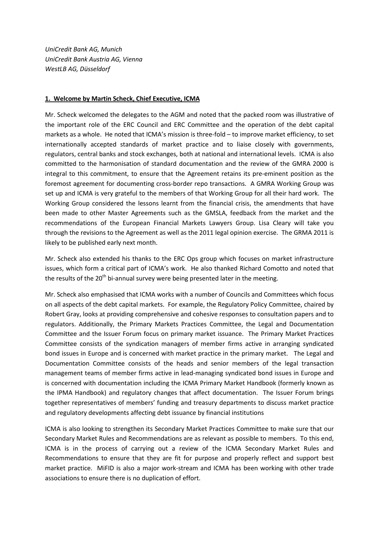*UniCredit Bank AG, Munich UniCredit Bank Austria AG, Vienna WestLB AG, Düsseldorf*

#### **1. Welcome by Martin Scheck, Chief Executive, ICMA**

Mr. Scheck welcomed the delegates to the AGM and noted that the packed room was illustrative of the important role of the ERC Council and ERC Committee and the operation of the debt capital markets as a whole. He noted that ICMA's mission is three-fold – to improve market efficiency, to set internationally accepted standards of market practice and to liaise closely with governments, regulators, central banks and stock exchanges, both at national and international levels. ICMA is also committed to the harmonisation of standard documentation and the review of the GMRA 2000 is integral to this commitment, to ensure that the Agreement retains its pre-eminent position as the foremost agreement for documenting cross-border repo transactions. A GMRA Working Group was set up and ICMA is very grateful to the members of that Working Group for all their hard work. The Working Group considered the lessons learnt from the financial crisis, the amendments that have been made to other Master Agreements such as the GMSLA, feedback from the market and the recommendations of the European Financial Markets Lawyers Group. Lisa Cleary will take you through the revisions to the Agreement as well as the 2011 legal opinion exercise. The GRMA 2011 is likely to be published early next month.

Mr. Scheck also extended his thanks to the ERC Ops group which focuses on market infrastructure issues, which form a critical part of ICMA's work. He also thanked Richard Comotto and noted that the results of the  $20<sup>th</sup>$  bi-annual survey were being presented later in the meeting.

Mr. Scheck also emphasised that ICMA works with a number of Councils and Committees which focus on all aspects of the debt capital markets. For example, the Regulatory Policy Committee, chaired by Robert Gray, looks at providing comprehensive and cohesive responses to consultation papers and to regulators. Additionally, the Primary Markets Practices Committee, the Legal and Documentation Committee and the Issuer Forum focus on primary market issuance. The Primary Market Practices Committee consists of the syndication managers of member firms active in arranging syndicated bond issues in Europe and is concerned with market practice in the primary market. The Legal and Documentation Committee consists of the heads and senior members of the legal transaction management teams of member firms active in lead-managing syndicated bond issues in Europe and is concerned with documentation including the ICMA Primary Market Handbook (formerly known as the IPMA Handbook) and regulatory changes that affect documentation. The Issuer Forum brings together representatives of members' funding and treasury departments to discuss market practice and regulatory developments affecting debt issuance by financial institutions

ICMA is also looking to strengthen its Secondary Market Practices Committee to make sure that our Secondary Market Rules and Recommendations are as relevant as possible to members. To this end, ICMA is in the process of carrying out a review of the ICMA Secondary Market Rules and Recommendations to ensure that they are fit for purpose and properly reflect and support best market practice. MiFID is also a major work-stream and ICMA has been working with other trade associations to ensure there is no duplication of effort.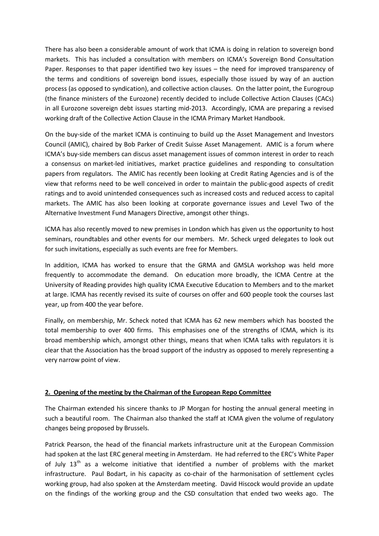There has also been a considerable amount of work that ICMA is doing in relation to sovereign bond markets. This has included a consultation with members on ICMA's Sovereign Bond Consultation Paper. Responses to that paper identified two key issues – the need for improved transparency of the terms and conditions of sovereign bond issues, especially those issued by way of an auction process (as opposed to syndication), and collective action clauses. On the latter point, the Eurogroup (the finance ministers of the Eurozone) recently decided to include Collective Action Clauses (CACs) in all Eurozone sovereign debt issues starting mid-2013. Accordingly, ICMA are preparing a revised working draft of the Collective Action Clause in the ICMA Primary Market Handbook.

On the buy-side of the market ICMA is continuing to build up the Asset Management and Investors Council (AMIC), chaired by Bob Parker of Credit Suisse Asset Management. AMIC is a forum where ICMA's buy-side members can discus asset management issues of common interest in order to reach a consensus on market-led initiatives, market practice guidelines and responding to consultation papers from regulators. The AMIC has recently been looking at Credit Rating Agencies and is of the view that reforms need to be well conceived in order to maintain the public-good aspects of credit ratings and to avoid unintended consequences such as increased costs and reduced access to capital markets. The AMIC has also been looking at corporate governance issues and Level Two of the Alternative Investment Fund Managers Directive, amongst other things.

ICMA has also recently moved to new premises in London which has given us the opportunity to host seminars, roundtables and other events for our members. Mr. Scheck urged delegates to look out for such invitations, especially as such events are free for Members.

In addition, ICMA has worked to ensure that the GRMA and GMSLA workshop was held more frequently to accommodate the demand. On education more broadly, the ICMA Centre at the University of Reading provides high quality ICMA Executive Education to Members and to the market at large. ICMA has recently revised its suite of courses on offer and 600 people took the courses last year, up from 400 the year before.

Finally, on membership, Mr. Scheck noted that ICMA has 62 new members which has boosted the total membership to over 400 firms. This emphasises one of the strengths of ICMA, which is its broad membership which, amongst other things, means that when ICMA talks with regulators it is clear that the Association has the broad support of the industry as opposed to merely representing a very narrow point of view.

## **2. Opening of the meeting by the Chairman of the European Repo Committee**

The Chairman extended his sincere thanks to JP Morgan for hosting the annual general meeting in such a beautiful room. The Chairman also thanked the staff at ICMA given the volume of regulatory changes being proposed by Brussels.

Patrick Pearson, the head of the financial markets infrastructure unit at the European Commission had spoken at the last ERC general meeting in Amsterdam. He had referred to the ERC's White Paper of July 13<sup>th</sup> as a welcome initiative that identified a number of problems with the market infrastructure. Paul Bodart, in his capacity as co-chair of the harmonisation of settlement cycles working group, had also spoken at the Amsterdam meeting. David Hiscock would provide an update on the findings of the working group and the CSD consultation that ended two weeks ago. The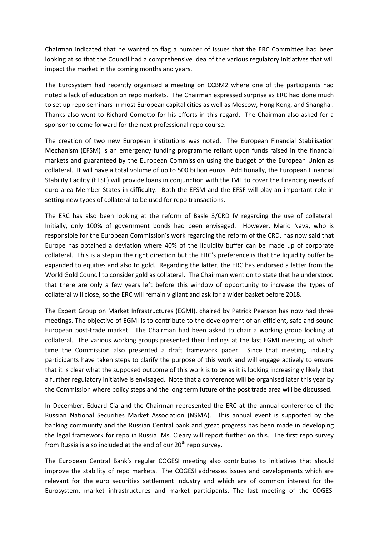Chairman indicated that he wanted to flag a number of issues that the ERC Committee had been looking at so that the Council had a comprehensive idea of the various regulatory initiatives that will impact the market in the coming months and years.

The Eurosystem had recently organised a meeting on CCBM2 where one of the participants had noted a lack of education on repo markets. The Chairman expressed surprise as ERC had done much to set up repo seminars in most European capital cities as well as Moscow, Hong Kong, and Shanghai. Thanks also went to Richard Comotto for his efforts in this regard. The Chairman also asked for a sponsor to come forward for the next professional repo course.

The creation of two new European institutions was noted. The European Financial Stabilisation Mechanism (EFSM) is an emergency funding programme reliant upon funds raised in the financial markets and guaranteed by the European Commission using the budget of the European Union as collateral. It will have a total volume of up to 500 billion euros. Additionally, the European Financial Stability Facility (EFSF) will provide loans in conjunction with the IMF to cover the financing needs of euro area Member States in difficulty. Both the EFSM and the EFSF will play an important role in setting new types of collateral to be used for repo transactions.

The ERC has also been looking at the reform of Basle 3/CRD IV regarding the use of collateral. Initially, only 100% of government bonds had been envisaged. However, Mario Nava, who is responsible for the European Commission's work regarding the reform of the CRD, has now said that Europe has obtained a deviation where 40% of the liquidity buffer can be made up of corporate collateral. This is a step in the right direction but the ERC's preference is that the liquidity buffer be expanded to equities and also to gold. Regarding the latter, the ERC has endorsed a letter from the World Gold Council to consider gold as collateral. The Chairman went on to state that he understood that there are only a few years left before this window of opportunity to increase the types of collateral will close, so the ERC will remain vigilant and ask for a wider basket before 2018.

The Expert Group on Market Infrastructures (EGMI), chaired by Patrick Pearson has now had three meetings. The objective of EGMI is to contribute to the development of an efficient, safe and sound European post-trade market. The Chairman had been asked to chair a working group looking at collateral. The various working groups presented their findings at the last EGMI meeting, at which time the Commission also presented a draft framework paper. Since that meeting, industry participants have taken steps to clarify the purpose of this work and will engage actively to ensure that it is clear what the supposed outcome of this work is to be as it is looking increasingly likely that a further regulatory initiative is envisaged. Note that a conference will be organised later this year by the Commission where policy steps and the long term future of the post trade area will be discussed.

In December, Eduard Cia and the Chairman represented the ERC at the annual conference of the Russian National Securities Market Association (NSMA). This annual event is supported by the banking community and the Russian Central bank and great progress has been made in developing the legal framework for repo in Russia. Ms. Cleary will report further on this. The first repo survey from Russia is also included at the end of our  $20<sup>th</sup>$  repo survey.

The European Central Bank's regular COGESI meeting also contributes to initiatives that should improve the stability of repo markets. The COGESI addresses issues and developments which are relevant for the euro securities settlement industry and which are of common interest for the Eurosystem, market infrastructures and market participants. The last meeting of the COGESI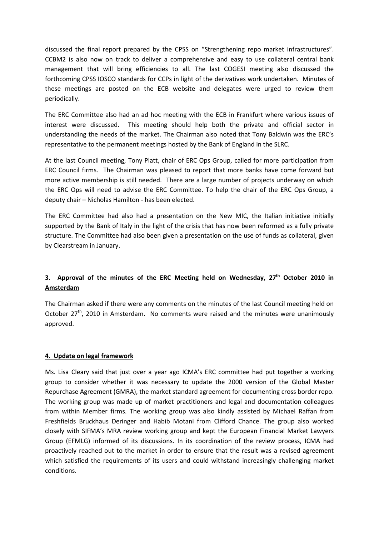discussed the final report prepared by the CPSS on "Strengthening repo market infrastructures". CCBM2 is also now on track to deliver a comprehensive and easy to use collateral central bank management that will bring efficiencies to all. The last COGESI meeting also discussed the forthcoming CPSS IOSCO standards for CCPs in light of the derivatives work undertaken. Minutes of these meetings are posted on the ECB website and delegates were urged to review them periodically.

The ERC Committee also had an ad hoc meeting with the ECB in Frankfurt where various issues of interest were discussed. This meeting should help both the private and official sector in understanding the needs of the market. The Chairman also noted that Tony Baldwin was the ERC's representative to the permanent meetings hosted by the Bank of England in the SLRC.

At the last Council meeting, Tony Platt, chair of ERC Ops Group, called for more participation from ERC Council firms. The Chairman was pleased to report that more banks have come forward but more active membership is still needed. There are a large number of projects underway on which the ERC Ops will need to advise the ERC Committee. To help the chair of the ERC Ops Group, a deputy chair – Nicholas Hamilton - has been elected.

The ERC Committee had also had a presentation on the New MIC, the Italian initiative initially supported by the Bank of Italy in the light of the crisis that has now been reformed as a fully private structure. The Committee had also been given a presentation on the use of funds as collateral, given by Clearstream in January.

# 3. Approval of the minutes of the ERC Meeting held on Wednesday, 27<sup>th</sup> October 2010 in **Amsterdam**

The Chairman asked if there were any comments on the minutes of the last Council meeting held on October 27<sup>th</sup>, 2010 in Amsterdam. No comments were raised and the minutes were unanimously approved.

## **4. Update on legal framework**

Ms. Lisa Cleary said that just over a year ago ICMA's ERC committee had put together a working group to consider whether it was necessary to update the 2000 version of the Global Master Repurchase Agreement (GMRA), the market standard agreement for documenting cross border repo. The working group was made up of market practitioners and legal and documentation colleagues from within Member firms. The working group was also kindly assisted by Michael Raffan from Freshfields Bruckhaus Deringer and Habib Motani from Clifford Chance. The group also worked closely with SIFMA's MRA review working group and kept the European Financial Market Lawyers Group (EFMLG) informed of its discussions. In its coordination of the review process, ICMA had proactively reached out to the market in order to ensure that the result was a revised agreement which satisfied the requirements of its users and could withstand increasingly challenging market conditions.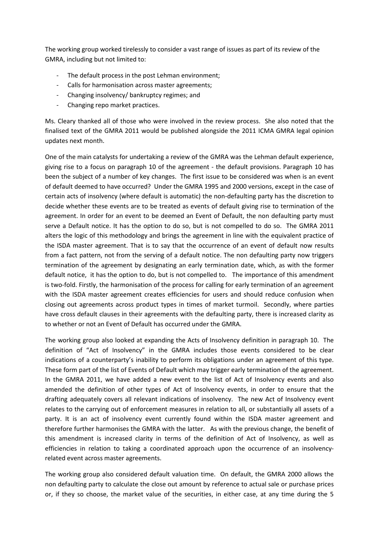The working group worked tirelessly to consider a vast range of issues as part of its review of the GMRA, including but not limited to:

- The default process in the post Lehman environment;
- Calls for harmonisation across master agreements;
- Changing insolvency/ bankruptcy regimes; and
- Changing repo market practices.

Ms. Cleary thanked all of those who were involved in the review process. She also noted that the finalised text of the GMRA 2011 would be published alongside the 2011 ICMA GMRA legal opinion updates next month.

One of the main catalysts for undertaking a review of the GMRA was the Lehman default experience, giving rise to a focus on paragraph 10 of the agreement - the default provisions. Paragraph 10 has been the subject of a number of key changes. The first issue to be considered was when is an event of default deemed to have occurred? Under the GMRA 1995 and 2000 versions, except in the case of certain acts of insolvency (where default is automatic) the non-defaulting party has the discretion to decide whether these events are to be treated as events of default giving rise to termination of the agreement. In order for an event to be deemed an Event of Default, the non defaulting party must serve a Default notice. It has the option to do so, but is not compelled to do so. The GMRA 2011 alters the logic of this methodology and brings the agreement in line with the equivalent practice of the ISDA master agreement. That is to say that the occurrence of an event of default now results from a fact pattern, not from the serving of a default notice. The non defaulting party now triggers termination of the agreement by designating an early termination date, which, as with the former default notice, it has the option to do, but is not compelled to. The importance of this amendment is two-fold. Firstly, the harmonisation of the process for calling for early termination of an agreement with the ISDA master agreement creates efficiencies for users and should reduce confusion when closing out agreements across product types in times of market turmoil. Secondly, where parties have cross default clauses in their agreements with the defaulting party, there is increased clarity as to whether or not an Event of Default has occurred under the GMRA.

The working group also looked at expanding the Acts of Insolvency definition in paragraph 10. The definition of "Act of Insolvency" in the GMRA includes those events considered to be clear indications of a counterparty's inability to perform its obligations under an agreement of this type. These form part of the list of Events of Default which may trigger early termination of the agreement. In the GMRA 2011, we have added a new event to the list of Act of Insolvency events and also amended the definition of other types of Act of Insolvency events, in order to ensure that the drafting adequately covers all relevant indications of insolvency. The new Act of Insolvency event relates to the carrying out of enforcement measures in relation to all, or substantially all assets of a party. It is an act of insolvency event currently found within the ISDA master agreement and therefore further harmonises the GMRA with the latter. As with the previous change, the benefit of this amendment is increased clarity in terms of the definition of Act of Insolvency, as well as efficiencies in relation to taking a coordinated approach upon the occurrence of an insolvencyrelated event across master agreements.

The working group also considered default valuation time. On default, the GMRA 2000 allows the non defaulting party to calculate the close out amount by reference to actual sale or purchase prices or, if they so choose, the market value of the securities, in either case, at any time during the 5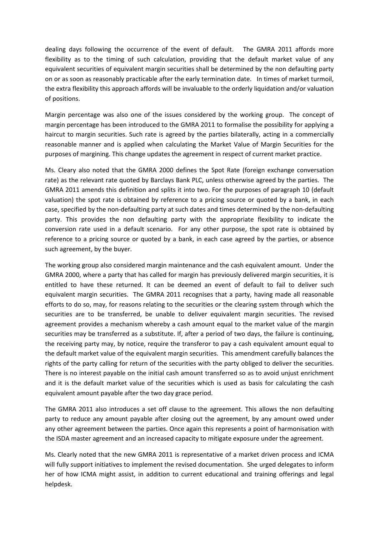dealing days following the occurrence of the event of default. The GMRA 2011 affords more flexibility as to the timing of such calculation, providing that the default market value of any equivalent securities of equivalent margin securities shall be determined by the non defaulting party on or as soon as reasonably practicable after the early termination date. In times of market turmoil, the extra flexibility this approach affords will be invaluable to the orderly liquidation and/or valuation of positions.

Margin percentage was also one of the issues considered by the working group. The concept of margin percentage has been introduced to the GMRA 2011 to formalise the possibility for applying a haircut to margin securities. Such rate is agreed by the parties bilaterally, acting in a commercially reasonable manner and is applied when calculating the Market Value of Margin Securities for the purposes of margining. This change updates the agreement in respect of current market practice.

Ms. Cleary also noted that the GMRA 2000 defines the Spot Rate (foreign exchange conversation rate) as the relevant rate quoted by Barclays Bank PLC, unless otherwise agreed by the parties. The GMRA 2011 amends this definition and splits it into two. For the purposes of paragraph 10 (default valuation) the spot rate is obtained by reference to a pricing source or quoted by a bank, in each case, specified by the non-defaulting party at such dates and times determined by the non-defaulting party. This provides the non defaulting party with the appropriate flexibility to indicate the conversion rate used in a default scenario. For any other purpose, the spot rate is obtained by reference to a pricing source or quoted by a bank, in each case agreed by the parties, or absence such agreement, by the buyer.

The working group also considered margin maintenance and the cash equivalent amount. Under the GMRA 2000, where a party that has called for margin has previously delivered margin securities, it is entitled to have these returned. It can be deemed an event of default to fail to deliver such equivalent margin securities. The GMRA 2011 recognises that a party, having made all reasonable efforts to do so, may, for reasons relating to the securities or the clearing system through which the securities are to be transferred, be unable to deliver equivalent margin securities. The revised agreement provides a mechanism whereby a cash amount equal to the market value of the margin securities may be transferred as a substitute. If, after a period of two days, the failure is continuing, the receiving party may, by notice, require the transferor to pay a cash equivalent amount equal to the default market value of the equivalent margin securities. This amendment carefully balances the rights of the party calling for return of the securities with the party obliged to deliver the securities. There is no interest payable on the initial cash amount transferred so as to avoid unjust enrichment and it is the default market value of the securities which is used as basis for calculating the cash equivalent amount payable after the two day grace period.

The GMRA 2011 also introduces a set off clause to the agreement. This allows the non defaulting party to reduce any amount payable after closing out the agreement, by any amount owed under any other agreement between the parties. Once again this represents a point of harmonisation with the ISDA master agreement and an increased capacity to mitigate exposure under the agreement.

Ms. Clearly noted that the new GMRA 2011 is representative of a market driven process and ICMA will fully support initiatives to implement the revised documentation. She urged delegates to inform her of how ICMA might assist, in addition to current educational and training offerings and legal helpdesk.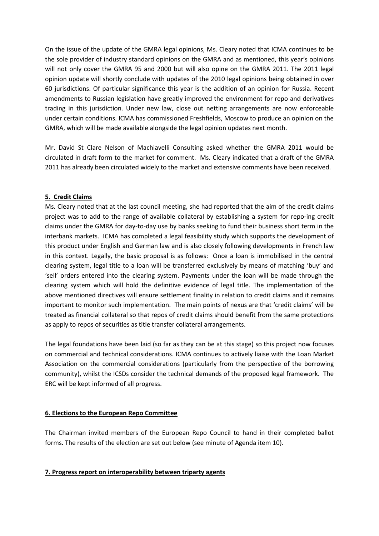On the issue of the update of the GMRA legal opinions, Ms. Cleary noted that ICMA continues to be the sole provider of industry standard opinions on the GMRA and as mentioned, this year's opinions will not only cover the GMRA 95 and 2000 but will also opine on the GMRA 2011. The 2011 legal opinion update will shortly conclude with updates of the 2010 legal opinions being obtained in over 60 jurisdictions. Of particular significance this year is the addition of an opinion for Russia. Recent amendments to Russian legislation have greatly improved the environment for repo and derivatives trading in this jurisdiction. Under new law, close out netting arrangements are now enforceable under certain conditions. ICMA has commissioned Freshfields, Moscow to produce an opinion on the GMRA, which will be made available alongside the legal opinion updates next month.

Mr. David St Clare Nelson of Machiavelli Consulting asked whether the GMRA 2011 would be circulated in draft form to the market for comment. Ms. Cleary indicated that a draft of the GMRA 2011 has already been circulated widely to the market and extensive comments have been received.

## **5. Credit Claims**

Ms. Cleary noted that at the last council meeting, she had reported that the aim of the credit claims project was to add to the range of available collateral by establishing a system for repo-ing credit claims under the GMRA for day-to-day use by banks seeking to fund their business short term in the interbank markets. ICMA has completed a legal feasibility study which supports the development of this product under English and German law and is also closely following developments in French law in this context. Legally, the basic proposal is as follows: Once a loan is immobilised in the central clearing system, legal title to a loan will be transferred exclusively by means of matching 'buy' and 'sell' orders entered into the clearing system. Payments under the loan will be made through the clearing system which will hold the definitive evidence of legal title. The implementation of the above mentioned directives will ensure settlement finality in relation to credit claims and it remains important to monitor such implementation. The main points of nexus are that 'credit claims' will be treated as financial collateral so that repos of credit claims should benefit from the same protections as apply to repos of securities as title transfer collateral arrangements.

The legal foundations have been laid (so far as they can be at this stage) so this project now focuses on commercial and technical considerations. ICMA continues to actively liaise with the Loan Market Association on the commercial considerations (particularly from the perspective of the borrowing community), whilst the ICSDs consider the technical demands of the proposed legal framework. The ERC will be kept informed of all progress.

#### **6. Elections to the European Repo Committee**

The Chairman invited members of the European Repo Council to hand in their completed ballot forms. The results of the election are set out below (see minute of Agenda item 10).

## **7. Progress report on interoperability between triparty agents**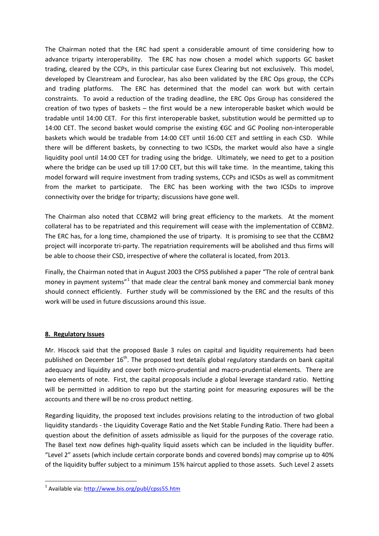The Chairman noted that the ERC had spent a considerable amount of time considering how to advance triparty interoperability. The ERC has now chosen a model which supports GC basket trading, cleared by the CCPs, in this particular case Eurex Clearing but not exclusively. This model, developed by Clearstream and Euroclear, has also been validated by the ERC Ops group, the CCPs and trading platforms. The ERC has determined that the model can work but with certain constraints. To avoid a reduction of the trading deadline, the ERC Ops Group has considered the creation of two types of baskets – the first would be a new interoperable basket which would be tradable until 14:00 CET. For this first interoperable basket, substitution would be permitted up to 14:00 CET. The second basket would comprise the existing €GC and GC Pooling non-interoperable baskets which would be tradable from 14:00 CET until 16:00 CET and settling in each CSD. While there will be different baskets, by connecting to two ICSDs, the market would also have a single liquidity pool until 14:00 CET for trading using the bridge. Ultimately, we need to get to a position where the bridge can be used up till 17:00 CET, but this will take time. In the meantime, taking this model forward will require investment from trading systems, CCPs and ICSDs as well as commitment from the market to participate. The ERC has been working with the two ICSDs to improve connectivity over the bridge for triparty; discussions have gone well.

The Chairman also noted that CCBM2 will bring great efficiency to the markets. At the moment collateral has to be repatriated and this requirement will cease with the implementation of CCBM2. The ERC has, for a long time, championed the use of triparty. It is promising to see that the CCBM2 project will incorporate tri-party. The repatriation requirements will be abolished and thus firms will be able to choose their CSD, irrespective of where the collateral is located, from 2013.

Finally, the Chairman noted that in August 2003 the CPSS published a paper "The role of central bank money in payment systems"<sup>[1](#page-9-0)</sup> that made clear the central bank money and commercial bank money should connect efficiently. Further study will be commissioned by the ERC and the results of this work will be used in future discussions around this issue.

## **8. Regulatory Issues**

Mr. Hiscock said that the proposed Basle 3 rules on capital and liquidity requirements had been published on December 16<sup>th</sup>. The proposed text details global regulatory standards on bank capital adequacy and liquidity and cover both micro-prudential and macro-prudential elements. There are two elements of note. First, the capital proposals include a global leverage standard ratio. Netting will be permitted in addition to repo but the starting point for measuring exposures will be the accounts and there will be no cross product netting.

Regarding liquidity, the proposed text includes provisions relating to the introduction of two global liquidity standards - the Liquidity Coverage Ratio and the Net Stable Funding Ratio. There had been a question about the definition of assets admissible as liquid for the purposes of the coverage ratio. The Basel text now defines high-quality liquid assets which can be included in the liquidity buffer. "Level 2" assets (which include certain corporate bonds and covered bonds) may comprise up to 40% of the liquidity buffer subject to a minimum 15% haircut applied to those assets. Such Level 2 assets

<span id="page-9-0"></span> <sup>1</sup> Available via:<http://www.bis.org/publ/cpss55.htm>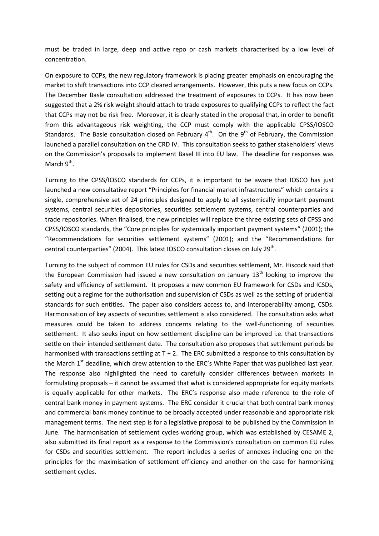must be traded in large, deep and active repo or cash markets characterised by a low level of concentration.

On exposure to CCPs, the new regulatory framework is placing greater emphasis on encouraging the market to shift transactions into CCP cleared arrangements. However, this puts a new focus on CCPs. The December Basle consultation addressed the treatment of exposures to CCPs. It has now been suggested that a 2% risk weight should attach to trade exposures to qualifying CCPs to reflect the fact that CCPs may not be risk free. Moreover, it is clearly stated in the proposal that, in order to benefit from this advantageous risk weighting, the CCP must comply with the applicable CPSS/IOSCO Standards. The Basle consultation closed on February  $4<sup>th</sup>$ . On the  $9<sup>th</sup>$  of February, the Commission launched a parallel consultation on the CRD IV. This consultation seeks to gather stakeholders' views on the Commission's proposals to implement Basel III into EU law. The deadline for responses was March  $9^{th}$ .

Turning to the CPSS/IOSCO standards for CCPs, it is important to be aware that IOSCO has just launched a new consultative report "Principles for financial market infrastructures" which contains a single, comprehensive set of 24 principles designed to apply to all systemically important payment systems, central securities depositories, securities settlement systems, central counterparties and trade repositories. When finalised, the new principles will replace the three existing sets of CPSS and CPSS/IOSCO standards, the "Core principles for systemically important payment systems" (2001); the "Recommendations for securities settlement systems" (2001); and the "Recommendations for central counterparties" (2004). This latest IOSCO consultation closes on July 29<sup>th</sup>.

Turning to the subject of common EU rules for CSDs and securities settlement, Mr. Hiscock said that the European Commission had issued a new consultation on January  $13<sup>th</sup>$  looking to improve the safety and efficiency of settlement. It proposes a new common EU framework for CSDs and ICSDs, setting out a regime for the authorisation and supervision of CSDs as well as the setting of prudential standards for such entities. The paper also considers access to, and interoperability among, CSDs. Harmonisation of key aspects of securities settlement is also considered. The consultation asks what measures could be taken to address concerns relating to the well-functioning of securities settlement. It also seeks input on how settlement discipline can be improved i.e. that transactions settle on their intended settlement date. The consultation also proposes that settlement periods be harmonised with transactions settling at  $T + 2$ . The ERC submitted a response to this consultation by the March  $1<sup>st</sup>$  deadline, which drew attention to the ERC's White Paper that was published last year. The response also highlighted the need to carefully consider differences between markets in formulating proposals – it cannot be assumed that what is considered appropriate for equity markets is equally applicable for other markets. The ERC's response also made reference to the role of central bank money in payment systems. The ERC consider it crucial that both central bank money and commercial bank money continue to be broadly accepted under reasonable and appropriate risk management terms. The next step is for a legislative proposal to be published by the Commission in June. The harmonisation of settlement cycles working group, which was established by CESAME 2, also submitted its final report as a response to the Commission's consultation on common EU rules for CSDs and securities settlement. The report includes a series of annexes including one on the principles for the maximisation of settlement efficiency and another on the case for harmonising settlement cycles.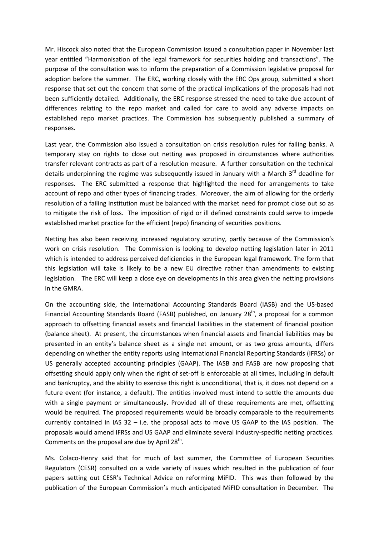Mr. Hiscock also noted that the European Commission issued a consultation paper in November last year entitled "Harmonisation of the legal framework for securities holding and transactions". The purpose of the consultation was to inform the preparation of a Commission legislative proposal for adoption before the summer. The ERC, working closely with the ERC Ops group, submitted a short response that set out the concern that some of the practical implications of the proposals had not been sufficiently detailed. Additionally, the ERC response stressed the need to take due account of differences relating to the repo market and called for care to avoid any adverse impacts on established repo market practices. The Commission has subsequently published a summary of responses.

Last year, the Commission also issued a consultation on crisis resolution rules for failing banks. A temporary stay on rights to close out netting was proposed in circumstances where authorities transfer relevant contracts as part of a resolution measure. A further consultation on the technical details underpinning the regime was subsequently issued in January with a March 3rd deadline for responses. The ERC submitted a response that highlighted the need for arrangements to take account of repo and other types of financing trades. Moreover, the aim of allowing for the orderly resolution of a failing institution must be balanced with the market need for prompt close out so as to mitigate the risk of loss. The imposition of rigid or ill defined constraints could serve to impede established market practice for the efficient (repo) financing of securities positions.

Netting has also been receiving increased regulatory scrutiny, partly because of the Commission's work on crisis resolution. The Commission is looking to develop netting legislation later in 2011 which is intended to address perceived deficiencies in the European legal framework. The form that this legislation will take is likely to be a new EU directive rather than amendments to existing legislation. The ERC will keep a close eye on developments in this area given the netting provisions in the GMRA.

On the accounting side, the International Accounting Standards Board (IASB) and the US-based Financial Accounting Standards Board (FASB) published, on January 28<sup>th</sup>, a proposal for a common approach to offsetting financial assets and financial liabilities in the statement of financial position (balance sheet). At present, the circumstances when financial assets and financial liabilities may be presented in an entity's balance sheet as a single net amount, or as two gross amounts, differs depending on whether the entity reports using International Financial Reporting Standards (IFRSs) or US generally accepted accounting principles (GAAP). The IASB and FASB are now proposing that offsetting should apply only when the right of set-off is enforceable at all times, including in default and bankruptcy, and the ability to exercise this right is unconditional, that is, it does not depend on a future event (for instance, a default). The entities involved must intend to settle the amounts due with a single payment or simultaneously. Provided all of these requirements are met, offsetting would be required. The proposed requirements would be broadly comparable to the requirements currently contained in IAS 32 – i.e. the proposal acts to move US GAAP to the IAS position. The proposals would amend IFRSs and US GAAP and eliminate several industry-specific netting practices. Comments on the proposal are due by April  $28<sup>th</sup>$ .

Ms. Colaco-Henry said that for much of last summer, the Committee of European Securities Regulators (CESR) consulted on a wide variety of issues which resulted in the publication of four papers setting out CESR's Technical Advice on reforming MiFID. This was then followed by the publication of the European Commission's much anticipated MiFID consultation in December. The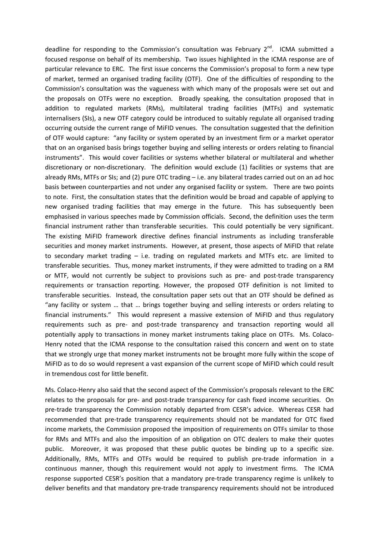deadline for responding to the Commission's consultation was February  $2^{nd}$ . ICMA submitted a focused response on behalf of its membership. Two issues highlighted in the ICMA response are of particular relevance to ERC. The first issue concerns the Commission's proposal to form a new type of market, termed an organised trading facility (OTF). One of the difficulties of responding to the Commission's consultation was the vagueness with which many of the proposals were set out and the proposals on OTFs were no exception. Broadly speaking, the consultation proposed that in addition to regulated markets (RMs), multilateral trading facilities (MTFs) and systematic internalisers (SIs), a new OTF category could be introduced to suitably regulate all organised trading occurring outside the current range of MiFID venues. The consultation suggested that the definition of OTF would capture: "any facility or system operated by an investment firm or a market operator that on an organised basis brings together buying and selling interests or orders relating to financial instruments". This would cover facilities or systems whether bilateral or multilateral and whether discretionary or non-discretionary. The definition would exclude (1) facilities or systems that are already RMs, MTFs or SIs; and (2) pure OTC trading – i.e. any bilateral trades carried out on an ad hoc basis between counterparties and not under any organised facility or system. There are two points to note. First, the consultation states that the definition would be broad and capable of applying to new organised trading facilities that may emerge in the future. This has subsequently been emphasised in various speeches made by Commission officials. Second, the definition uses the term financial instrument rather than transferable securities. This could potentially be very significant. The existing MiFID framework directive defines financial instruments as including transferable securities and money market instruments. However, at present, those aspects of MiFID that relate to secondary market trading – i.e. trading on regulated markets and MTFs etc. are limited to transferable securities. Thus, money market instruments, if they were admitted to trading on a RM or MTF, would not currently be subject to provisions such as pre- and post-trade transparency requirements or transaction reporting. However, the proposed OTF definition is not limited to transferable securities. Instead, the consultation paper sets out that an OTF should be defined as "any facility or system … that … brings together buying and selling interests or orders relating to financial instruments." This would represent a massive extension of MiFID and thus regulatory requirements such as pre- and post-trade transparency and transaction reporting would all potentially apply to transactions in money market instruments taking place on OTFs. Ms. Colaco-Henry noted that the ICMA response to the consultation raised this concern and went on to state that we strongly urge that money market instruments not be brought more fully within the scope of MiFID as to do so would represent a vast expansion of the current scope of MiFID which could result in tremendous cost for little benefit.

Ms. Colaco-Henry also said that the second aspect of the Commission's proposals relevant to the ERC relates to the proposals for pre- and post-trade transparency for cash fixed income securities. On pre-trade transparency the Commission notably departed from CESR's advice. Whereas CESR had recommended that pre-trade transparency requirements should not be mandated for OTC fixed income markets, the Commission proposed the imposition of requirements on OTFs similar to those for RMs and MTFs and also the imposition of an obligation on OTC dealers to make their quotes public. Moreover, it was proposed that these public quotes be binding up to a specific size. Additionally, RMs, MTFs and OTFs would be required to publish pre-trade information in a continuous manner, though this requirement would not apply to investment firms. The ICMA response supported CESR's position that a mandatory pre-trade transparency regime is unlikely to deliver benefits and that mandatory pre-trade transparency requirements should not be introduced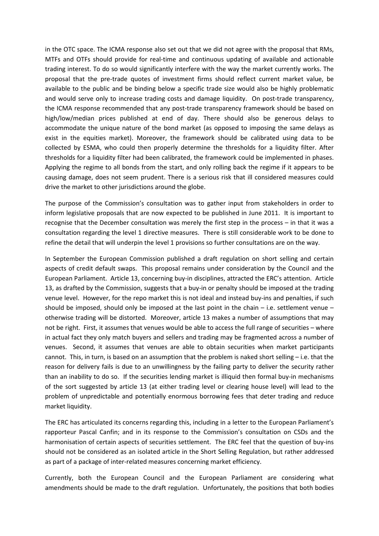in the OTC space. The ICMA response also set out that we did not agree with the proposal that RMs, MTFs and OTFs should provide for real-time and continuous updating of available and actionable trading interest. To do so would significantly interfere with the way the market currently works. The proposal that the pre-trade quotes of investment firms should reflect current market value, be available to the public and be binding below a specific trade size would also be highly problematic and would serve only to increase trading costs and damage liquidity. On post-trade transparency, the ICMA response recommended that any post-trade transparency framework should be based on high/low/median prices published at end of day. There should also be generous delays to accommodate the unique nature of the bond market (as opposed to imposing the same delays as exist in the equities market). Moreover, the framework should be calibrated using data to be collected by ESMA, who could then properly determine the thresholds for a liquidity filter. After thresholds for a liquidity filter had been calibrated, the framework could be implemented in phases. Applying the regime to all bonds from the start, and only rolling back the regime if it appears to be causing damage, does not seem prudent. There is a serious risk that ill considered measures could drive the market to other jurisdictions around the globe.

The purpose of the Commission's consultation was to gather input from stakeholders in order to inform legislative proposals that are now expected to be published in June 2011. It is important to recognise that the December consultation was merely the first step in the process – in that it was a consultation regarding the level 1 directive measures. There is still considerable work to be done to refine the detail that will underpin the level 1 provisions so further consultations are on the way.

In September the European Commission published a [draft regulation](http://europa.eu/rapid/pressReleasesAction.do?reference=IP/10/1126&format=HTML&aged=0&language=EN&guiLanguage=en) on short selling and certain aspects of credit default swaps. This proposal remains under consideration by the Council and the European Parliament. Article 13, concerning buy-in disciplines, attracted the ERC's attention. Article 13, as drafted by the Commission, suggests that a buy-in or penalty should be imposed at the trading venue level. However, for the repo market this is not ideal and instead buy-ins and penalties, if such should be imposed, should only be imposed at the last point in the chain – i.e. settlement venue – otherwise trading will be distorted. Moreover, article 13 makes a number of assumptions that may not be right. First, it assumes that venues would be able to access the full range of securities – where in actual fact they only match buyers and sellers and trading may be fragmented across a number of venues. Second, it assumes that venues are able to obtain securities when market participants cannot. This, in turn, is based on an assumption that the problem is naked short selling – i.e. that the reason for delivery fails is due to an unwillingness by the failing party to deliver the security rather than an inability to do so. If the securities lending market is illiquid then formal buy-in mechanisms of the sort suggested by article 13 (at either trading level or clearing house level) will lead to the problem of unpredictable and potentially enormous borrowing fees that deter trading and reduce market liquidity.

The ERC has articulated its concerns regarding this, including in a letter to the European Parliament's rapporteur Pascal Canfin; and in its response to the Commission's consultation on CSDs and the harmonisation of certain aspects of securities settlement. The ERC feel that the question of buy-ins should not be considered as an isolated article in the Short Selling Regulation, but rather addressed as part of a package of inter-related measures concerning market efficiency.

Currently, both the European Council and the European Parliament are considering what amendments should be made to the draft regulation. Unfortunately, the positions that both bodies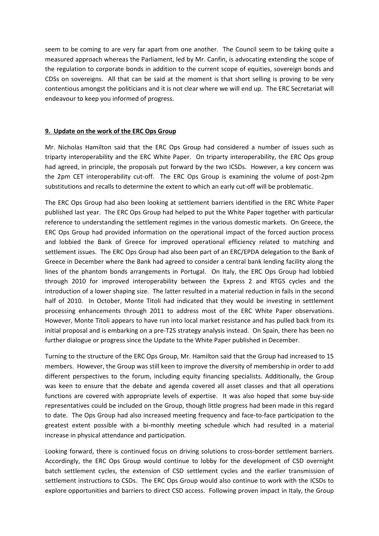seem to be coming to are very far apart from one another. The Council seem to be taking quite a measured approach whereas the Parliament, led by Mr. Canfin, is advocating extending the scope of the regulation to corporate bonds in addition to the current scope of equities, sovereign bonds and CDSs on sovereigns. All that can be said at the moment is that short selling is proving to be very contentious amongst the politicians and it is not clear where we will end up. The ERC Secretariat will endeavour to keep you informed of progress.

#### **9. Update on the work of the ERC Ops Group**

Mr. Nicholas Hamilton said that the ERC Ops Group had considered a number of issues such as triparty interoperability and the ERC White Paper. On triparty interoperability, the ERC Ops group had agreed, in principle, the proposals put forward by the two ICSDs. However, a key concern was the 2pm CET interoperability cut-off. The ERC Ops Group is examining the volume of post-2pm substitutions and recalls to determine the extent to which an early cut-off will be problematic.

The ERC Ops Group had also been looking at settlement barriers identified in the ERC White Paper published last year. The ERC Ops Group had helped to put the White Paper together with particular reference to understanding the settlement regimes in the various domestic markets. On Greece, the ERC Ops Group had provided information on the operational impact of the forced auction process and lobbied the Bank of Greece for improved operational efficiency related to matching and settlement issues. The ERC Ops Group had also been part of an ERC/EPDA delegation to the Bank of Greece in December where the Bank had agreed to consider a central bank lending facility along the lines of the phantom bonds arrangements in Portugal. On Italy, the ERC Ops Group had lobbied through 2010 for improved interoperability between the Express 2 and RTGS cycles and the introduction of a lower shaping size. The latter resulted in a material reduction in fails in the second half of 2010. In October, Monte Titoli had indicated that they would be investing in settlement processing enhancements through 2011 to address most of the ERC White Paper observations. However, Monte Titoli appears to have run into local market resistance and has pulled back from its initial proposal and is embarking on a pre-T2S strategy analysis instead. On Spain, there has been no further dialogue or progress since the Update to the White Paper published in December.

Turning to the structure of the ERC Ops Group, Mr. Hamilton said that the Group had increased to 15 members. However, the Group was still keen to improve the diversity of membership in order to add different perspectives to the forum, including equity financing specialists. Additionally, the Group was keen to ensure that the debate and agenda covered all asset classes and that all operations functions are covered with appropriate levels of expertise. It was also hoped that some buy-side representatives could be included on the Group, though little progress had been made in this regard to date. The Ops Group had also increased meeting frequency and face-to-face participation to the greatest extent possible with a bi-monthly meeting schedule which had resulted in a material increase in physical attendance and participation.

Looking forward, there is continued focus on driving solutions to cross-border settlement barriers. Accordingly, the ERC Ops Group would continue to lobby for the development of CSD overnight batch settlement cycles, the extension of CSD settlement cycles and the earlier transmission of settlement instructions to CSDs. The ERC Ops Group would also continue to work with the ICSDs to explore opportunities and barriers to direct CSD access. Following proven impact in Italy, the Group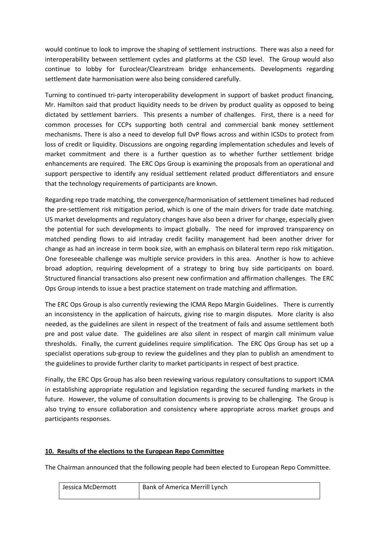would continue to look to improve the shaping of settlement instructions. There was also a need for interoperability between settlement cycles and platforms at the CSD level. The Group would also continue to lobby for Euroclear/Clearstream bridge enhancements. Developments regarding settlement date harmonisation were also being considered carefully.

Turning to continued tri-party interoperability development in support of basket product financing, Mr. Hamilton said that product liquidity needs to be driven by product quality as opposed to being dictated by settlement barriers. This presents a number of challenges. First, there is a need for common processes for CCPs supporting both central and commercial bank money settlement mechanisms. There is also a need to develop full DvP flows across and within ICSDs to protect from loss of credit or liquidity. Discussions are ongoing regarding implementation schedules and levels of market commitment and there is a further question as to whether further settlement bridge enhancements are required. The ERC Ops Group is examining the proposals from an operational and support perspective to identify any residual settlement related product differentiators and ensure that the technology requirements of participants are known.

Regarding repo trade matching, the convergence/harmonisation of settlement timelines had reduced the pre-settlement risk mitigation period, which is one of the main drivers for trade date matching. US market developments and regulatory changes have also been a driver for change, especially given the potential for such developments to impact globally. The need for improved transparency on matched pending flows to aid intraday credit facility management had been another driver for change as had an increase in term book size, with an emphasis on bilateral term repo risk mitigation. One foreseeable challenge was multiple service providers in this area. Another is how to achieve broad adoption, requiring development of a strategy to bring buy side participants on board. Structured financial transactions also present new confirmation and affirmation challenges. The ERC Ops Group intends to issue a best practice statement on trade matching and affirmation.

The ERC Ops Group is also currently reviewing the ICMA Repo Margin Guidelines. There is currently an inconsistency in the application of haircuts, giving rise to margin disputes. More clarity is also needed, as the guidelines are silent in respect of the treatment of fails and assume settlement both pre and post value date. The guidelines are also silent in respect of margin call minimum value thresholds. Finally, the current guidelines require simplification. The ERC Ops Group has set up a specialist operations sub-group to review the guidelines and they plan to publish an amendment to the guidelines to provide further clarity to market participants in respect of best practice.

Finally, the ERC Ops Group has also been reviewing various regulatory consultations to support ICMA in establishing appropriate regulation and legislation regarding the secured funding markets in the future. However, the volume of consultation documents is proving to be challenging. The Group is also trying to ensure collaboration and consistency where appropriate across market groups and participants responses.

#### **10. Results of the elections to the European Repo Committee**

The Chairman announced that the following people had been elected to European Repo Committee.

| Jessica McDermott | Bank of America Merrill Lynch |
|-------------------|-------------------------------|
|                   |                               |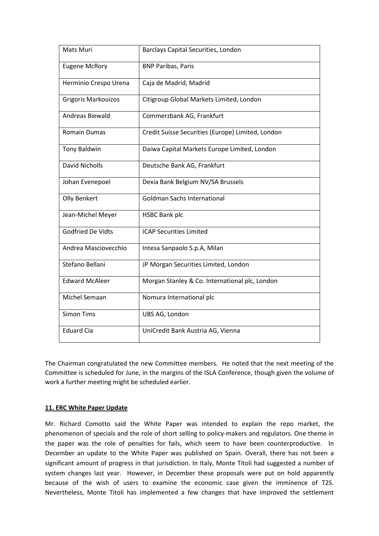| Mats Muri                | Barclays Capital Securities, London               |
|--------------------------|---------------------------------------------------|
| <b>Eugene McRory</b>     | <b>BNP Paribas, Paris</b>                         |
| Herminio Crespo Urena    | Caja de Madrid, Madrid                            |
| Grigoris Markouizos      | Citigroup Global Markets Limited, London          |
| Andreas Biewald          | Commerzbank AG, Frankfurt                         |
| <b>Romain Dumas</b>      | Credit Suisse Securities (Europe) Limited, London |
| <b>Tony Baldwin</b>      | Daiwa Capital Markets Europe Limited, London      |
| <b>David Nicholls</b>    | Deutsche Bank AG, Frankfurt                       |
| Johan Evenepoel          | Dexia Bank Belgium NV/SA Brussels                 |
| Olly Benkert             | <b>Goldman Sachs International</b>                |
| Jean-Michel Meyer        | <b>HSBC Bank plc</b>                              |
| <b>Godfried De Vidts</b> | <b>ICAP Securities Limited</b>                    |
| Andrea Masciovecchio     | Intesa Sanpaolo S.p.A, Milan                      |
| Stefano Bellani          | JP Morgan Securities Limited, London              |
| <b>Edward McAleer</b>    | Morgan Stanley & Co. International plc, London    |
| Michel Semaan            | Nomura International plc                          |
| <b>Simon Tims</b>        | UBS AG, London                                    |
| <b>Eduard Cia</b>        | UniCredit Bank Austria AG, Vienna                 |

The Chairman congratulated the new Committee members. He noted that the next meeting of the Committee is scheduled for June, in the margins of the ISLA Conference, though given the volume of work a further meeting might be scheduled earlier.

#### **11. ERC White Paper Update**

Mr. Richard Comotto said the White Paper was intended to explain the repo market, the phenomenon of specials and the role of short selling to policy-makers and regulators. One theme in the paper was the role of penalties for fails, which seem to have been counterproductive. In December an update to the White Paper was published on Spain. Overall, there has not been a significant amount of progress in that jurisdiction. In Italy, Monte Titoli had suggested a number of system changes last year. However, in December these proposals were put on hold apparently because of the wish of users to examine the economic case given the imminence of T2S. Nevertheless, Monte Titoli has implemented a few changes that have improved the settlement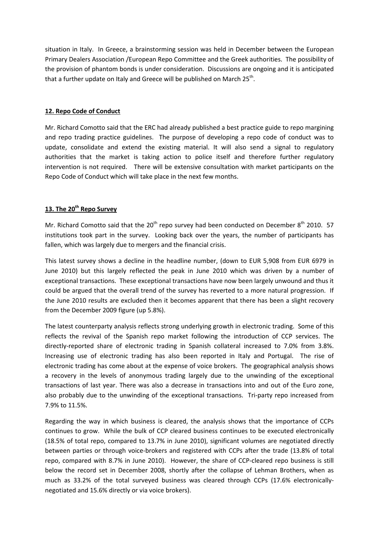situation in Italy. In Greece, a brainstorming session was held in December between the European Primary Dealers Association /European Repo Committee and the Greek authorities. The possibility of the provision of phantom bonds is under consideration. Discussions are ongoing and it is anticipated that a further update on Italy and Greece will be published on March 25<sup>th</sup>.

## **12. Repo Code of Conduct**

Mr. Richard Comotto said that the ERC had already published a best practice guide to repo margining and repo trading practice guidelines. The purpose of developing a repo code of conduct was to update, consolidate and extend the existing material. It will also send a signal to regulatory authorities that the market is taking action to police itself and therefore further regulatory intervention is not required. There will be extensive consultation with market participants on the Repo Code of Conduct which will take place in the next few months.

## **13. The 20th Repo Survey**

Mr. Richard Comotto said that the  $20^{th}$  repo survey had been conducted on December  $8^{th}$  2010. 57 institutions took part in the survey. Looking back over the years, the number of participants has fallen, which was largely due to mergers and the financial crisis.

This latest survey shows a decline in the headline number, (down to EUR 5,908 from EUR 6979 in June 2010) but this largely reflected the peak in June 2010 which was driven by a number of exceptional transactions. These exceptional transactions have now been largely unwound and thus it could be argued that the overall trend of the survey has reverted to a more natural progression. If the June 2010 results are excluded then it becomes apparent that there has been a slight recovery from the December 2009 figure (up 5.8%).

The latest counterparty analysis reflects strong underlying growth in electronic trading. Some of this reflects the revival of the Spanish repo market following the introduction of CCP services. The directly-reported share of electronic trading in Spanish collateral increased to 7.0% from 3.8%. Increasing use of electronic trading has also been reported in Italy and Portugal. The rise of electronic trading has come about at the expense of voice brokers. The geographical analysis shows a recovery in the levels of anonymous trading largely due to the unwinding of the exceptional transactions of last year. There was also a decrease in transactions into and out of the Euro zone, also probably due to the unwinding of the exceptional transactions. Tri-party repo increased from 7.9% to 11.5%.

Regarding the way in which business is cleared, the analysis shows that the importance of CCPs continues to grow. While the bulk of CCP cleared business continues to be executed electronically (18.5% of total repo, compared to 13.7% in June 2010), significant volumes are negotiated directly between parties or through voice-brokers and registered with CCPs after the trade (13.8% of total repo, compared with 8.7% in June 2010). However, the share of CCP-cleared repo business is still below the record set in December 2008, shortly after the collapse of Lehman Brothers, when as much as 33.2% of the total surveyed business was cleared through CCPs (17.6% electronicallynegotiated and 15.6% directly or via voice brokers).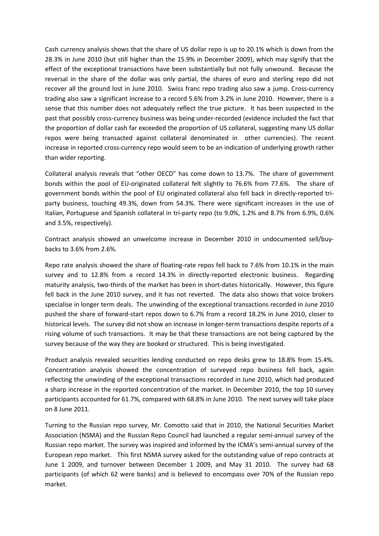Cash currency analysis shows that the share of US dollar repo is up to 20.1% which is down from the 28.3% in June 2010 (but still higher than the 15.9% in December 2009), which may signify that the effect of the exceptional transactions have been substantially but not fully unwound. Because the reversal in the share of the dollar was only partial, the shares of euro and sterling repo did not recover all the ground lost in June 2010. Swiss franc repo trading also saw a jump. Cross-currency trading also saw a significant increase to a record 5.6% from 3.2% in June 2010. However, there is a sense that this number does not adequately reflect the true picture. It has been suspected in the past that possibly cross-currency business was being under-recorded (evidence included the fact that the proportion of dollar cash far exceeded the proportion of US collateral, suggesting many US dollar repos were being transacted against collateral denominated in other currencies). The recent increase in reported cross-currency repo would seem to be an indication of underlying growth rather than wider reporting.

Collateral analysis reveals that "other OECD" has come down to 13.7%. The share of government bonds within the pool of EU-originated collateral felt slightly to 76.6% from 77.6%. The share of government bonds within the pool of EU originated collateral also fell back in directly-reported triparty business, touching 49.3%, down from 54.3%. There were significant increases in the use of Italian, Portuguese and Spanish collateral in tri-party repo (to 9.0%, 1.2% and 8.7% from 6.9%, 0.6% and 3.5%, respectively).

Contract analysis showed an unwelcome increase in December 2010 in undocumented sell/buybacks to 3.6% from 2.6%.

Repo rate analysis showed the share of floating-rate repos fell back to 7.6% from 10.1% in the main survey and to 12.8% from a record 14.3% in directly-reported electronic business. Regarding maturity analysis, two-thirds of the market has been in short-dates historically. However, this figure fell back in the June 2010 survey, and it has not reverted. The data also shows that voice brokers specialise in longer term deals. The unwinding of the exceptional transactions recorded in June 2010 pushed the share of forward-start repos down to 6.7% from a record 18.2% in June 2010, closer to historical levels. The survey did not show an increase in longer-term transactions despite reports of a rising volume of such transactions. It may be that these transactions are not being captured by the survey because of the way they are booked or structured. This is being investigated.

Product analysis revealed securities lending conducted on repo desks grew to 18.8% from 15.4%. Concentration analysis showed the concentration of surveyed repo business fell back, again reflecting the unwinding of the exceptional transactions recorded in June 2010, which had produced a sharp increase in the reported concentration of the market. In December 2010, the top 10 survey participants accounted for 61.7%, compared with 68.8% in June 2010. The next survey will take place on 8 June 2011.

Turning to the Russian repo survey, Mr. Comotto said that in 2010, the National Securities Market Association (NSMA) and the Russian Repo Council had launched a regular semi-annual survey of the Russian repo market. The survey was inspired and informed by the ICMA's semi-annual survey of the European repo market. This first NSMA survey asked for the outstanding value of repo contracts at June 1 2009, and turnover between December 1 2009, and May 31 2010. The survey had 68 participants (of which 62 were banks) and is believed to encompass over 70% of the Russian repo market.